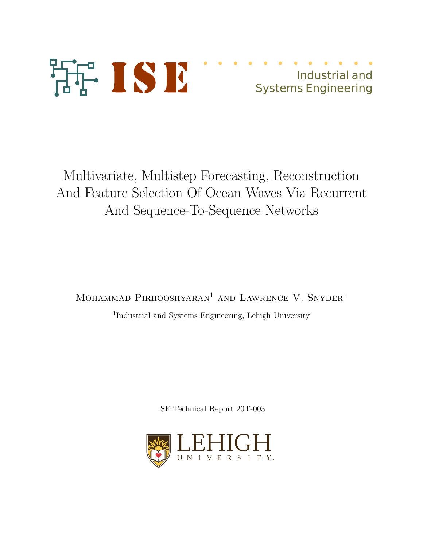

# Industrial and Systems Engineering

Multivariate, Multistep Forecasting, Reconstruction And Feature Selection Of Ocean Waves Via Recurrent And Sequence-To-Sequence Networks

MOHAMMAD PIRHOOSHYARAN<sup>1</sup> AND LAWRENCE V. SNYDER<sup>1</sup>

<sup>1</sup>Industrial and Systems Engineering, Lehigh University

ISE Technical Report 20T-003

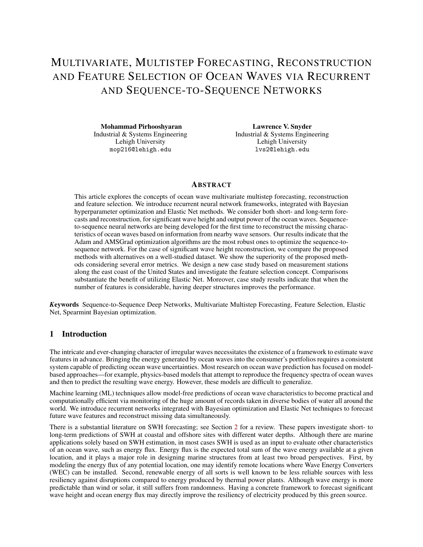# MULTIVARIATE, MULTISTEP FORECASTING, RECONSTRUCTION AND FEATURE SELECTION OF OCEAN WAVES VIA RECURRENT AND SEQUENCE-TO-SEQUENCE NETWORKS

Mohammad Pirhooshyaran Industrial & Systems Engineering Industrial & Systems Engineering Lehigh University mop216@lehigh.edu

Lawrence V. Snyder Lehigh University lvs2@lehigh.edu

# **ABSTRACT**

This article explores the concepts of ocean wave multivariate multistep forecasting, reconstruction and feature selection. We introduce recurrent neural network frameworks, integrated with Bayesian hyperparameter optimization and Elastic Net methods. We consider both short- and long-term forecasts and reconstruction, for significant wave height and output power of the ocean waves. Sequenceto-sequence neural networks are being developed for the first time to reconstruct the missing characteristics of ocean waves based on information from nearby wave sensors. Our results indicate that the Adam and AMSGrad optimization algorithms are the most robust ones to optimize the sequence-tosequence network. For the case of significant wave height reconstruction, we compare the proposed methods with alternatives on a well-studied dataset. We show the superiority of the proposed methods considering several error metrics. We design a new case study based on measurement stations along the east coast of the United States and investigate the feature selection concept. Comparisons substantiate the benefit of utilizing Elastic Net. Moreover, case study results indicate that when the number of features is considerable, having deeper structures improves the performance.

*K*eywords Sequence-to-Sequence Deep Networks, Multivariate Multistep Forecasting, Feature Selection, Elastic Net, Spearmint Bayesian optimization.

# 1 Introduction

The intricate and ever-changing character of irregular waves necessitates the existence of a framework to estimate wave features in advance. Bringing the energy generated by ocean waves into the consumer's portfolios requires a consistent system capable of predicting ocean wave uncertainties. Most research on ocean wave prediction has focused on modelbased approaches—for example, physics-based models that attempt to reproduce the frequency spectra of ocean waves and then to predict the resulting wave energy. However, these models are difficult to generalize.

Machine learning (ML) techniques allow model-free predictions of ocean wave characteristics to become practical and computationally efficient via monitoring of the huge amount of records taken in diverse bodies of water all around the world. We introduce recurrent networks integrated with Bayesian optimization and Elastic Net techniques to forecast future wave features and reconstruct missing data simultaneously.

There is a substantial literature on SWH forecasting; see Section 2 for a review. These papers investigate short- to long-term predictions of SWH at coastal and offshore sites with different water depths. Although there are marine applications solely based on SWH estimation, in most cases SWH is used as an input to evaluate other characteristics of an ocean wave, such as energy flux. Energy flux is the expected total sum of the wave energy available at a given location, and it plays a major role in designing marine structures from at least two broad perspectives. First, by modeling the energy flux of any potential location, one may identify remote locations where Wave Energy Converters (WEC) can be installed. Second, renewable energy of all sorts is well known to be less reliable sources with less resiliency against disruptions compared to energy produced by thermal power plants. Although wave energy is more predictable than wind or solar, it still suffers from randomness. Having a concrete framework to forecast significant wave height and ocean energy flux may directly improve the resiliency of electricity produced by this green source.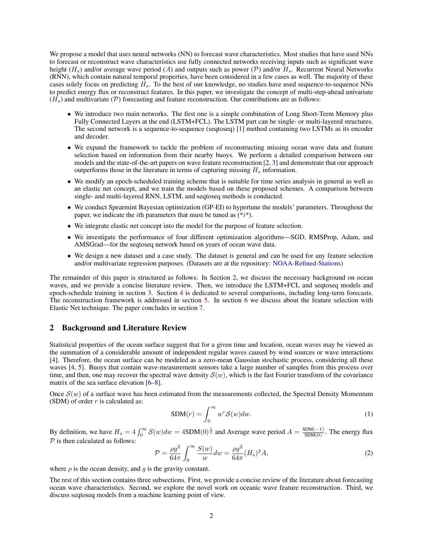We propose a model that uses neural networks (NN) to forecast wave characteristics. Most studies that have used NNs to forecast or reconstruct wave characteristics use fully connected networks receiving inputs such as significant wave height ( $H_s$ ) and/or average wave period (A) and outputs such as power (P) and/or  $H_s$ . Recurrent Neural Networks (RNN), which contain natural temporal properties, have been considered in a few cases as well. The majority of these cases solely focus on predicting  $H_s$ . To the best of our knowledge, no studies have used sequence-to-sequence NNs to predict energy flux or reconstruct features. In this paper, we investigate the concept of multi-step-ahead univariate  $(H<sub>s</sub>)$  and multivariate (P) forecasting and feature reconstruction. Our contributions are as follows:

- We introduce two main networks. The first one is a simple combination of Long Short-Term Memory plus Fully Connected Layers at the end (LSTM+FCL). The LSTM part can be single- or multi-layered structures. The second network is a sequence-to-sequence (seqtoseq) [1] method containing two LSTMs as its encoder and decoder.
- We expand the framework to tackle the problem of reconstructing missing ocean wave data and feature selection based on information from their nearby buoys. We perform a detailed comparison between our models and the state-of-the-art papers on wave feature reconstruction [2, 3] and demonstrate that our approach outperforms those in the literature in terms of capturing missing  $H_s$  information.
- We modify an epoch-scheduled training scheme that is suitable for time series analysis in general as well as an elastic net concept, and we train the models based on these proposed schemes. A comparison between single- and multi-layered RNN, LSTM, and seqtoseq methods is conducted.
- We conduct Spearmint Bayesian optimization (GP-EI) to hypertune the models' parameters. Throughout the paper, we indicate the *i*th parameters that must be tuned as  $(*i*)$ .
- We integrate elastic net concept into the model for the purpose of feature selection.
- We investigate the performance of four different optimization algorithms—SGD, RMSProp, Adam, and AMSGrad—for the seqtoseq network based on years of ocean wave data.
- We design a new dataset and a case study. The dataset is general and can be used for any feature selection and/or multivariate regression purposes. (Datasets are at the repository: NOAA-Refined-Stations)

The remainder of this paper is structured as follows: In Section 2, we discuss the necessary background on ocean waves, and we provide a concise literature review. Then, we introduce the LSTM+FCL and seqtoseq models and epoch-schedule training in section 3. Section 4 is dedicated to several comparisons, including long-term forecasts. The reconstruction framework is addressed in section 5. In section 6 we discuss about the feature selection with Elastic Net technique. The paper concludes in section 7.

#### 2 Background and Literature Review

Statistical properties of the ocean surface suggest that for a given time and location, ocean waves may be viewed as the summation of a considerable amount of independent regular waves caused by wind sources or wave interactions [4]. Therefore, the ocean surface can be modeled as a zero-mean Gaussian stochastic process, considering all these waves [4, 5]. Buoys that contain wave-measurement sensors take a large number of samples from this process over time, and then, one may recover the spectral wave density  $S(w)$ , which is the fast Fourier transform of the covariance matrix of the sea surface elevation [6–8].

Once  $S(w)$  of a surface wave has been estimated from the measurements collected, the Spectral Density Momentum (SDM) of order  $r$  is calculated as:

$$
SDM(r) = \int_0^\infty w^r \mathcal{S}(w) dw.
$$
 (1)

By definition, we have  $H_s = 4 \int_0^\infty S(w) dw = 4SDM(0)^{\frac{1}{2}}$  and Average wave period  $A = \frac{SDM(-1)}{SDM(0)}$ . The energy flux  $\mathcal P$  is then calculated as follows:

$$
\mathcal{P} = \frac{\rho g^2}{64\pi} \int_0^\infty \frac{S(w)}{w} dw = \frac{\rho g^2}{64\pi} (H_s)^2 A,\tag{2}
$$

where  $\rho$  is the ocean density, and  $q$  is the gravity constant.

The rest of this section contains three subsections. First, we provide a concise review of the literature about forecasting ocean wave characteristics. Second, we explore the novel work on oceanic wave feature reconstruction. Third, we discuss seqtoseq models from a machine learning point of view.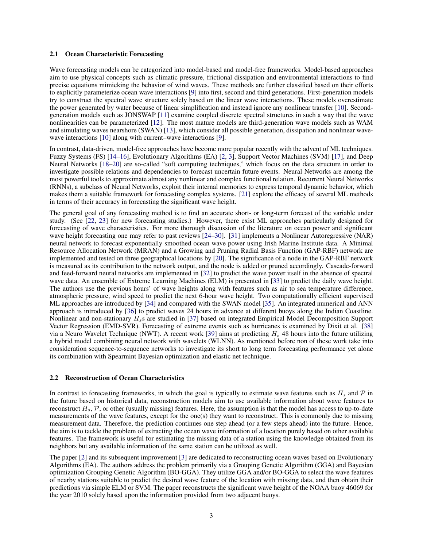#### 2.1 Ocean Characteristic Forecasting

Wave forecasting models can be categorized into model-based and model-free frameworks. Model-based approaches aim to use physical concepts such as climatic pressure, frictional dissipation and environmental interactions to find precise equations mimicking the behavior of wind waves. These methods are further classified based on their efforts to explicitly parameterize ocean wave interactions [9] into first, second and third generations. First-generation models try to construct the spectral wave structure solely based on the linear wave interactions. These models overestimate the power generated by water because of linear simplification and instead ignore any nonlinear transfer [10]. Secondgeneration models such as JONSWAP [11] examine coupled discrete spectral structures in such a way that the wave nonlinearities can be parameterized [12]. The most mature models are third-generation wave models such as WAM and simulating waves nearshore (SWAN) [13], which consider all possible generation, dissipation and nonlinear wavewave interactions [10] along with current–wave interactions [9].

In contrast, data-driven, model-free approaches have become more popular recently with the advent of ML techniques. Fuzzy Systems (FS) [14–16], Evolutionary Algorithms (EA) [2, 3], Support Vector Machines (SVM) [17], and Deep Neural Networks [18–20] are so-called "soft computing techniques," which focus on the data structure in order to investigate possible relations and dependencies to forecast uncertain future events. Neural Networks are among the most powerful tools to approximate almost any nonlinear and complex functional relation. Recurrent Neural Networks (RNNs), a subclass of Neural Networks, exploit their internal memories to express temporal dynamic behavior, which makes them a suitable framework for forecasting complex systems. [21] explore the efficacy of several ML methods in terms of their accuracy in forecasting the significant wave height.

The general goal of any forecasting method is to find an accurate short- or long-term forecast of the variable under study. (See [22, 23] for new forecasting studies.) However, there exist ML approaches particularly designed for forecasting of wave characteristics. For more thorough discussion of the literature on ocean power and significant wave height forecasting one may refer to past reviews [24–30]. [31] implements a Nonlinear Autoregressive (NAR) neural network to forecast exponentially smoothed ocean wave power using Irish Marine Institute data. A Minimal Resource Allocation Network (MRAN) and a Growing and Pruning Radial Basis Function (GAP-RBF) network are implemented and tested on three geographical locations by [20]. The significance of a node in the GAP-RBF network is measured as its contribution to the network output, and the node is added or pruned accordingly. Cascade-forward and feed-forward neural networks are implemented in [32] to predict the wave power itself in the absence of spectral wave data. An ensemble of Extreme Learning Machines (ELM) is presented in [33] to predict the daily wave height. The authors use the previous hours' of wave heights along with features such as air to sea temperature difference, atmospheric pressure, wind speed to predict the next 6-hour wave height. Two computationally efficient supervised ML approaches are introduced by [34] and compared with the SWAN model [35]. An integrated numerical and ANN approach is introduced by [36] to predict waves 24 hours in advance at different buoys along the Indian Coastline. Nonlinear and non-stationary  $H_s$ s are studied in [37] based on integrated Empirical Model Decomposition Support Vector Regression (EMD-SVR). Forecasting of extreme events such as hurricanes is examined by Dixit et al. [38] via a Neuro Wavelet Technique (NWT). A recent work [39] aims at predicting  $H_s$  48 hours into the future utilizing a hybrid model combining neural network with wavelets (WLNN). As mentioned before non of these work take into consideration sequence-to-sequence networks to investigate its short to long term forecasting performance yet alone its combination with Spearmint Bayesian optimization and elastic net technique.

#### 2.2 Reconstruction of Ocean Characteristics

In contrast to forecasting frameworks, in which the goal is typically to estimate wave features such as  $H_s$  and  $\mathcal P$  in the future based on historical data, reconstruction models aim to use available information about wave features to reconstruct  $H_s$ ,  $\mathcal P$ , or other (usually missing) features. Here, the assumption is that the model has access to up-to-date measurements of the wave features, except for the one(s) they want to reconstruct. This is commonly due to missing measurement data. Therefore, the prediction continues one step ahead (or a few steps ahead) into the future. Hence, the aim is to tackle the problem of extracting the ocean wave information of a location purely based on other available features. The framework is useful for estimating the missing data of a station using the knowledge obtained from its neighbors but any available information of the same station can be utilized as well.

The paper [2] and its subsequent improvement [3] are dedicated to reconstructing ocean waves based on Evolutionary Algorithms (EA). The authors address the problem primarily via a Grouping Genetic Algorithm (GGA) and Bayesian optimization Grouping Genetic Algorithm (BO-GGA). They utilize GGA and/or BO-GGA to select the wave features of nearby stations suitable to predict the desired wave feature of the location with missing data, and then obtain their predictions via simple ELM or SVM. The paper reconstructs the significant wave height of the NOAA buoy 46069 for the year 2010 solely based upon the information provided from two adjacent buoys.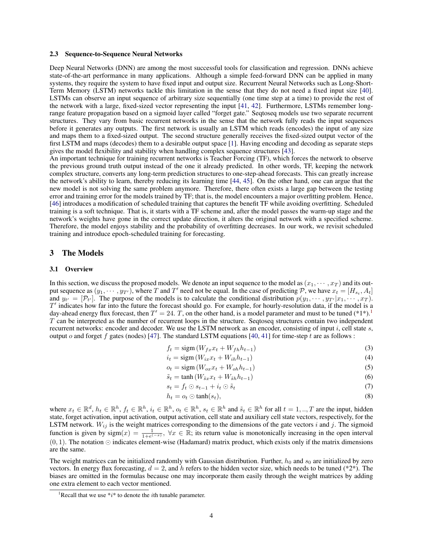#### 2.3 Sequence-to-Sequence Neural Networks

Deep Neural Networks (DNN) are among the most successful tools for classification and regression. DNNs achieve state-of-the-art performance in many applications. Although a simple feed-forward DNN can be applied in many systems, they require the system to have fixed input and output size. Recurrent Neural Networks such as Long-Short-Term Memory (LSTM) networks tackle this limitation in the sense that they do not need a fixed input size [40]. LSTMs can observe an input sequence of arbitrary size sequentially (one time step at a time) to provide the rest of the network with a large, fixed-sized vector representing the input [41, 42]. Furthermore, LSTMs remember longrange feature propagation based on a sigmoid layer called "forget gate." Seqtoseq models use two separate recurrent structures. They vary from basic recurrent networks in the sense that the network fully reads the input sequences before it generates any outputs. The first network is usually an LSTM which reads (encodes) the input of any size and maps them to a fixed-sized output. The second structure generally receives the fixed-sized output vector of the first LSTM and maps (decodes) them to a desirable output space [1]. Having encoding and decoding as separate steps gives the model flexibility and stability when handling complex sequence structures [43].

An important technique for training recurrent networks is Teacher Forcing (TF), which forces the network to observe the previous ground truth output instead of the one it already predicted. In other words, TF, keeping the network complex structure, converts any long-term prediction structures to one-step-ahead forecasts. This can greatly increase the network's ability to learn, thereby reducing its learning time [44, 45]. On the other hand, one can argue that the new model is not solving the same problem anymore. Therefore, there often exists a large gap between the testing error and training error for the models trained by TF; that is, the model encounters a major overfitting problem. Hence, [46] introduces a modification of scheduled training that captures the benefit TF while avoiding overfitting. Scheduled training is a soft technique. That is, it starts with a TF scheme and, after the model passes the warm-up stage and the network's weights have gone in the correct update direction, it alters the original network with a specified scheme. Therefore, the model enjoys stability and the probability of overfitting decreases. In our work, we revisit scheduled training and introduce epoch-scheduled training for forecasting.

#### 3 The Models

#### 3.1 Overview

In this section, we discuss the proposed models. We denote an input sequence to the model as  $(x_1, \dots, x_T)$  and its output sequence as  $(y_1, \dots, y_{T})$ , where T and T' need not be equal. In the case of predicting  $P$ , we have  $x_t = [H_{s_t}, A_t]$ and  $y_{t'} = [\mathcal{P}_{t'}]$ . The purpose of the models is to calculate the conditional distribution  $p(y_1, \dots, y_{T'}|x_1, \dots, x_T)$ .  $T'$  indicates how far into the future the forecast should go. For example, for hourly-resolution data, if the model is a day-ahead energy flux forecast, then  $T' = 24$ . T, on the other hand, is a model parameter and must to be tuned  $(*1*)$ .<sup>1</sup> T can be interpreted as the number of recurrent loops in the structure. Seqtoseq structures contain two independent recurrent networks: encoder and decoder. We use the LSTM network as an encoder, consisting of input  $i$ , cell state  $s$ , output o and forget f gates (nodes) [47]. The standard LSTM equations [40, 41] for time-step t are as follows :

$$
f_t = \text{sigm}(W_{fx}x_t + W_{fh}h_{t-1})
$$
\n(3)

$$
i_t = \text{sigm}(W_{ix}x_t + W_{ih}h_{t-1})
$$
\n<sup>(4)</sup>

$$
o_t = \text{sigm}(W_{ox}x_t + W_{oh}h_{t-1})
$$
\n<sup>(5)</sup>

$$
\tilde{s}_t = \tanh\left(W_{\tilde{s}x}x_t + W_{\tilde{s}h}h_{t-1}\right) \tag{6}
$$

$$
s_t = f_t \odot s_{t-1} + i_t \odot \tilde{s}_t \tag{7}
$$

$$
h_t = o_t \odot \tanh(s_t), \tag{8}
$$

where  $x_t \in \mathbb{R}^d$ ,  $h_t \in \mathbb{R}^h$ ,  $f_t \in \mathbb{R}^h$ ,  $i_t \in \mathbb{R}^h$ ,  $o_t \in \mathbb{R}^h$ ,  $s_t \in \mathbb{R}^h$  and  $\tilde{s}_t \in \mathbb{R}^h$  for all  $t = 1, ..., T$  are the input, hidden state, forget activation, input activation, output activation, cell state and auxiliary cell state vectors, respectively, for the LSTM network.  $W_{ij}$  is the weight matrices corresponding to the dimensions of the gate vectors i and j. The sigmoid function is given by  $sign(x) = \frac{1}{1+e^{(-x)}}, \forall x \in \mathbb{R}$ ; its return value is monotonically increasing in the open interval  $(0, 1)$ . The notation  $\odot$  indicates element-wise (Hadamard) matrix product, which exists only if the matrix dimensions are the same.

The weight matrices can be initialized randomly with Gaussian distribution. Further,  $h_0$  and  $s_0$  are initialized by zero vectors. In energy flux forecasting,  $d = 2$ , and h refers to the hidden vector size, which needs to be tuned (\*2\*). The biases are omitted in the formulas because one may incorporate them easily through the weight matrices by adding one extra element to each vector mentioned.

<sup>&</sup>lt;sup>1</sup>Recall that we use  $\dot{x}$  to denote the *i*th tunable parameter.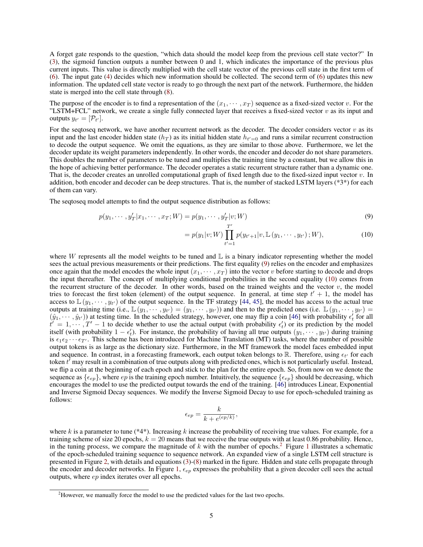A forget gate responds to the question, "which data should the model keep from the previous cell state vector?" In (3), the sigmoid function outputs a number between 0 and 1, which indicates the importance of the previous plus current inputs. This value is directly multiplied with the cell state vector of the previous cell state in the first term of (6). The input gate (4) decides which new information should be collected. The second term of (6) updates this new information. The updated cell state vector is ready to go through the next part of the network. Furthermore, the hidden state is merged into the cell state through (8).

The purpose of the encoder is to find a representation of the  $(x_1, \dots, x_T)$  sequence as a fixed-sized vector v. For the "LSTM+FCL" network, we create a single fully connected layer that receives a fixed-sized vector  $v$  as its input and outputs  $y_{t'} = [\mathcal{P}_{t'}].$ 

For the seqtoseq network, we have another recurrent network as the decoder. The decoder considers vector  $v$  as its input and the last encoder hidden state  $(h_T)$  as its initial hidden state  $h_{t'=0}$  and runs a similar recurrent construction to decode the output sequence. We omit the equations, as they are similar to those above. Furthermore, we let the decoder update its weight parameters independently. In other words, the encoder and decoder do not share parameters. This doubles the number of parameters to be tuned and multiplies the training time by a constant, but we allow this in the hope of achieving better performance. The decoder operates a static recurrent structure rather than a dynamic one. That is, the decoder creates an unrolled computational graph of fixed length due to the fixed-sized input vector  $v$ . In addition, both encoder and decoder can be deep structures. That is, the number of stacked LSTM layers  $(*3*)$  for each of them can vary.

The seqtoseq model attempts to find the output sequence distribution as follows:

$$
p(y_1, \cdots, y'_T | x_1, \cdots, x_T; W) = p(y_1, \cdots, y'_T | v; W)
$$
\n(9)

$$
= p(y_1|v;W) \prod_{t'=1}^{T'} p(y_{t'+1}|v,\mathbb{L}(y_1,\cdots,y_{t'});W), \qquad (10)
$$

where W represents all the model weights to be tuned and  $\mathbb L$  is a binary indicator representing whether the model sees the actual previous measurements or their predictions. The first equality (9) relies on the encoder and emphasizes once again that the model encodes the whole input  $(x_1, \dots, x_T)$  into the vector v before starting to decode and drops the input thereafter. The concept of multiplying conditional probabilities in the second equality (10) comes from the recurrent structure of the decoder. In other words, based on the trained weights and the vector  $v$ , the model tries to forecast the first token (element) of the output sequence. In general, at time step  $t' + 1$ , the model has access to  $\mathbb{L}(y_1, \dots, y_{t'})$  of the output sequence. In the TF strategy [44, 45], the model has access to the actual true outputs at training time  $(i.e., \mathbb{L}(y_1, \dots, y_{t'}) = (y_1, \dots, y_{t'})$  and then to the predicted ones  $(i.e., \mathbb{L}(y_1, \dots, y_{t'}) = (y_1, \dots, y_{t'})$  $(\hat{y}_1, \dots, \hat{y}_{t'})$  at testing time. In the scheduled strategy, however, one may flip a coin [46] with probability  $\epsilon'_t$  for all  $t' = 1, \dots, T' - 1$  to decide whether to use the actual output (with probability  $\epsilon'_t$ ) or its prediction by the model itself (with probability  $1 - \epsilon'_t$ ). For instance, the probability of having all true outputs  $(y_1, \dots, y_{t'})$  during training is  $\epsilon_1 \epsilon_2 \cdots \epsilon_{T'}$ . This scheme has been introduced for Machine Translation (MT) tasks, where the number of possible output tokens is as large as the dictionary size. Furthermore, in the MT framework the model faces embedded input and sequence. In contrast, in a forecasting framework, each output token belongs to  $\mathbb R$ . Therefore, using  $\epsilon_{t'}$  for each token  $t'$  may result in a combination of true outputs along with predicted ones, which is not particularly useful. Instead, we flip a coin at the beginning of each epoch and stick to the plan for the entire epoch. So, from now on we denote the sequence as  $\{\epsilon_{ep}\}$ , where  $ep$  is the training epoch number. Intuitively, the sequence  $\{\epsilon_{ep}\}$  should be decreasing, which encourages the model to use the predicted output towards the end of the training. [46] introduces Linear, Exponential and Inverse Sigmoid Decay sequences. We modify the Inverse Sigmoid Decay to use for epoch-scheduled training as follows:

$$
\epsilon_{ep} = \frac{k}{k + e^{(ep/k)}},
$$

where k is a parameter to tune (\*4\*). Increasing k increase the probability of receiving true values. For example, for a training scheme of size 20 epochs,  $k = 20$  means that we receive the true outputs with at least 0.86 probability. Hence, in the tuning process, we compare the magnitude of k with the number of epochs.<sup>2</sup> Figure 1 illustrates a schematic of the epoch-scheduled training sequence to sequence network. An expanded view of a single LSTM cell structure is presented in Figure 2, with details and equations (3)-(8) marked in the figure. Hidden and state cells propagate through the encoder and decoder networks. In Figure 1,  $\epsilon_{ep}$  expresses the probability that a given decoder cell sees the actual outputs, where ep index iterates over all epochs.

<sup>&</sup>lt;sup>2</sup>However, we manually force the model to use the predicted values for the last two epochs.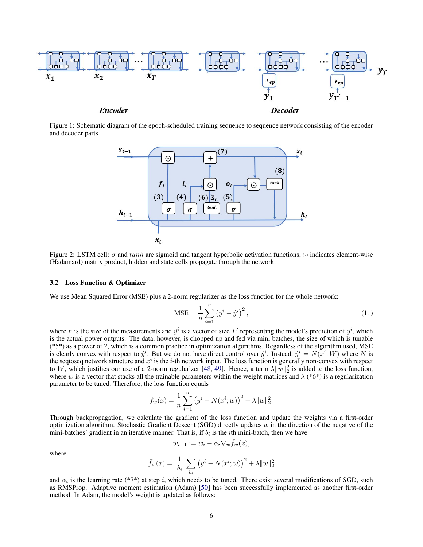

Figure 1: Schematic diagram of the epoch-scheduled training sequence to sequence network consisting of the encoder and decoder parts.



Figure 2: LSTM cell:  $\sigma$  and tanh are sigmoid and tangent hyperbolic activation functions,  $\odot$  indicates element-wise (Hadamard) matrix product, hidden and state cells propagate through the network.

#### 3.2 Loss Function & Optimizer

We use Mean Squared Error (MSE) plus a 2-norm regularizer as the loss function for the whole network:

$$
\text{MSE} = \frac{1}{n} \sum_{i=1}^{n} (y^i - \hat{y}^i)^2, \tag{11}
$$

where *n* is the size of the measurements and  $\hat{y}^i$  is a vector of size T' representing the model's prediction of  $y^i$ , which is the actual power outputs. The data, however, is chopped up and fed via mini batches, the size of which is tunable (\*5\*) as a power of 2, which is a common practice in optimization algorithms. Regardless of the algorithm used, MSE is clearly convex with respect to  $\hat{y}^i$ . But we do not have direct control over  $\hat{y}^i$ . Instead,  $\hat{y}^i = N(\hat{x}^i; W)$  where N is the seqtoseq network structure and  $x^i$  is the *i*-th network input. The loss function is generally non-convex with respect to W, which justifies our use of a 2-norm regularizer [48, 49]. Hence, a term  $\lambda \|w\|_2^2$  is added to the loss function, where w is a vector that stacks all the trainable parameters within the weight matrices and  $\lambda$  (\*6\*) is a regularization parameter to be tuned. Therefore, the loss function equals

$$
f_w(x) = \frac{1}{n} \sum_{i=1}^n (y^i - N(x^i; w))^2 + \lambda ||w||_2^2.
$$

Through backpropagation, we calculate the gradient of the loss function and update the weights via a first-order optimization algorithm. Stochastic Gradient Descent (SGD) directly updates  $w$  in the direction of the negative of the mini-batches' gradient in an iterative manner. That is, if  $b_i$  is the *i*th mini-batch, then we have

$$
w_{i+1} := w_i - \alpha_i \nabla_w \bar{f}_w(x),
$$

where

$$
\bar{f}_w(x)=\frac{1}{|b_i|}\sum_{b_i}\left(y^i-N(x^i;w)\right)^2+\lambda\|w\|_2^2
$$

and  $\alpha_i$  is the learning rate (\*7\*) at step i, which needs to be tuned. There exist several modifications of SGD, such as RMSProp. Adaptive moment estimation (Adam) [50] has been successfully implemented as another first-order method. In Adam, the model's weight is updated as follows: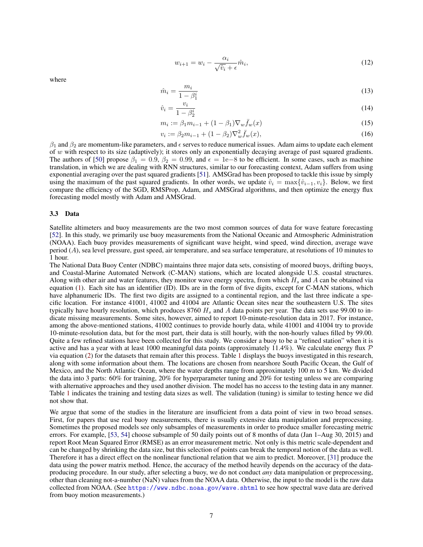$$
w_{i+1} = w_i - \frac{\alpha_i}{\sqrt{\hat{v}_i} + \epsilon} \hat{m}_i,
$$
\n(12)

where

$$
\hat{m}_i = \frac{m_i}{1 - \beta_1^i} \tag{13}
$$

$$
\hat{v}_i = \frac{v_i}{1 - \beta_2^i} \tag{14}
$$

$$
m_i := \beta_1 m_{i-1} + (1 - \beta_1) \nabla_w \bar{f}_w(x)
$$
\n(15)

$$
i := \beta_2 m_{i-1} + (1 - \beta_2) \nabla_w^2 \bar{f}_w(x), \tag{16}
$$

 $\beta_1$  and  $\beta_2$  are momentum-like parameters, and  $\epsilon$  serves to reduce numerical issues. Adam aims to update each element of  $w$  with respect to its size (adaptively); it stores only an exponentially decaying average of past squared gradients. The authors of [50] propose  $\beta_1 = 0.9$ ,  $\beta_2 = 0.99$ , and  $\epsilon = 1e-8$  to be efficient. In some cases, such as machine translation, in which we are dealing with RNN structures, similar to our forecasting context, Adam suffers from using exponential averaging over the past squared gradients [51]. AMSGrad has been proposed to tackle this issue by simply using the maximum of the past squared gradients. In other words, we update  $\hat{v}_i = \max\{\hat{v}_{i-1}, v_i\}$ . Below, we first compare the efficiency of the SGD, RMSProp, Adam, and AMSGrad algorithms, and then optimize the energy flux forecasting model mostly with Adam and AMSGrad.

 $\overline{v}$ 

#### 3.3 Data

Satellite altimeters and buoy measurements are the two most common sources of data for wave feature forecasting [52]. In this study, we primarily use buoy measurements from the National Oceanic and Atmospheric Administration (NOAA). Each buoy provides measurements of significant wave height, wind speed, wind direction, average wave period (A), sea level pressure, gust speed, air temperature, and sea surface temperature, at resolutions of 10 minutes to 1 hour.

The National Data Buoy Center (NDBC) maintains three major data sets, consisting of moored buoys, drifting buoys, and Coastal-Marine Automated Network (C-MAN) stations, which are located alongside U.S. coastal structures. Along with other air and water features, they monitor wave energy spectra, from which  $H_s$  and A can be obtained via equation (1). Each site has an identifier (ID). IDs are in the form of five digits, except for C-MAN stations, which have alphanumeric IDs. The first two digits are assigned to a continental region, and the last three indicate a specific location. For instance 41001, 41002 and 41004 are Atlantic Ocean sites near the southeastern U.S. The sites typically have hourly resolution, which produces  $8760 H_s$  and A data points per year. The data sets use 99.00 to indicate missing measurements. Some sites, however, aimed to report 10-minute-resolution data in 2017. For instance, among the above-mentioned stations, 41002 continues to provide hourly data, while 41001 and 41004 try to provide 10-minute-resolution data, but for the most part, their data is still hourly, with the non-hourly values filled by 99.00. Quite a few refined stations have been collected for this study. We consider a buoy to be a "refined station" when it is active and has a year with at least 1000 meaningful data points (approximately 11.4%). We calculate energy flux  $\mathcal P$ via equation (2) for the datasets that remain after this process. Table 1 displays the buoys investigated in this research, along with some information about them. The locations are chosen from nearshore South Pacific Ocean, the Gulf of Mexico, and the North Atlantic Ocean, where the water depths range from approximately 100 m to 5 km. We divided the data into 3 parts: 60% for training, 20% for hyperparameter tuning and 20% for testing unless we are comparing with alternative approaches and they used another division. The model has no access to the testing data in any manner. Table 1 indicates the training and testing data sizes as well. The validation (tuning) is similar to testing hence we did not show that.

We argue that some of the studies in the literature are insufficient from a data point of view in two broad senses. First, for papers that use real buoy measurements, there is usually extensive data manipulation and preprocessing. Sometimes the proposed models see only subsamples of measurements in order to produce smaller forecasting metric errors. For example, [53, 54] choose subsample of 50 daily points out of 8 months of data (Jan 1–Aug 30, 2015) and report Root Mean Squared Error (RMSE) as an error measurement metric. Not only is this metric scale-dependent and can be changed by shrinking the data size, but this selection of points can break the temporal notion of the data as well. Therefore it has a direct effect on the nonlinear functional relation that we aim to predict. Moreover, [31] produce the data using the power matrix method. Hence, the accuracy of the method heavily depends on the accuracy of the dataproducing procedure. In our study, after selecting a buoy, we do not conduct *any* data manipulation or preprocessing, other than cleaning not-a-number (NaN) values from the NOAA data. Otherwise, the input to the model is the raw data collected from NOAA. (See https://www.ndbc.noaa.gov/wave.shtml to see how spectral wave data are derived from buoy motion measurements.)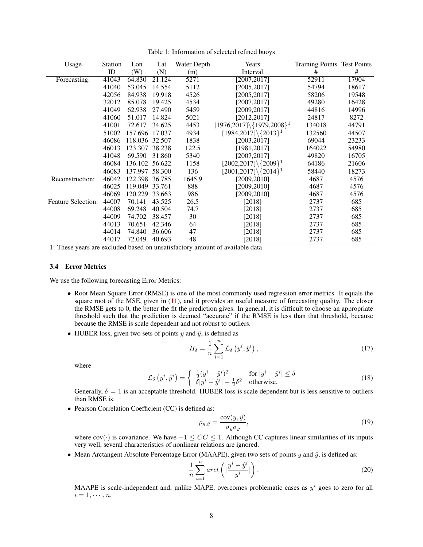| Usage                     | Station | Lon            | Lat    | Water Depth | Years                                        | Training Points Test Points |       |
|---------------------------|---------|----------------|--------|-------------|----------------------------------------------|-----------------------------|-------|
|                           | ID      | (W)            | (N)    | (m)         | Interval                                     | #                           | #     |
| Forecasting:              | 41043   | 64.830         | 21.124 | 5271        | [2007, 2017]                                 | 52911                       | 17904 |
|                           | 41040   | 53.045         | 14.554 | 5112        | [2005, 2017]                                 | 54794                       | 18617 |
|                           | 42056   | 84.938         | 19.918 | 4526        | [2005, 2017]                                 | 58206                       | 19548 |
|                           | 32012   | 85.078         | 19.425 | 4534        | [2007, 2017]                                 | 49280                       | 16428 |
|                           | 41049   | 62.938         | 27.490 | 5459        | [2009, 2017]                                 | 44816                       | 14996 |
|                           | 41060   | 51.017         | 14.824 | 5021        | [2012, 2017]                                 | 24817                       | 8272  |
|                           | 41001   | 72.617         | 34.625 | 4453        | $[1976, 2017] \$ $[1979, 2008]$ <sup>1</sup> | 134018                      | 44791 |
|                           | 51002   | 157.696 17.037 |        | 4934        | $[1984, 2017] \setminus \{2013\}^1$          | 132560                      | 44507 |
|                           | 46086   | 118.036 32.507 |        | 1838        | [2003, 2017]                                 | 69044                       | 23233 |
|                           | 46013   | 123.307        | 38.238 | 122.5       | [1981, 2017]                                 | 164022                      | 54980 |
|                           | 41048   | 69.590         | 31.860 | 5340        | [2007, 2017]                                 | 49820                       | 16705 |
|                           | 46084   | 136.102 56.622 |        | 1158        | $[2002, 2017] \setminus \{2009\}^1$          | 64186                       | 21606 |
|                           | 46083   | 137.997        | 58.300 | 136         | $[2001, 2017] \setminus \{2014\}^1$          | 58440                       | 18273 |
| Reconstruction:           | 46042   | 122.398 36.785 |        | 1645.9      | [2009, 2010]                                 | 4687                        | 4576  |
|                           | 46025   | 119.049        | 33.761 | 888         | [2009, 2010]                                 | 4687                        | 4576  |
|                           | 46069   | 120.229        | 33.663 | 986         | [2009, 2010]                                 | 4687                        | 4576  |
| <b>Feature Selection:</b> | 44007   | 70.141         | 43.525 | 26.5        | [2018]                                       | 2737                        | 685   |
|                           | 44008   | 69.248         | 40.504 | 74.7        | $[2018]$                                     | 2737                        | 685   |
|                           | 44009   | 74.702         | 38.457 | 30          | $[2018]$                                     | 2737                        | 685   |
|                           | 44013   | 70.651         | 42.346 | 64          | $[2018]$                                     | 2737                        | 685   |
|                           | 44014   | 74.840         | 36.606 | 47          | $[2018]$                                     | 2737                        | 685   |
|                           | 44017   | 72.049         | 40.693 | 48          | $[2018]$                                     | 2737                        | 685   |

Table 1: Information of selected refined buoys

1: These years are excluded based on unsatisfactory amount of available data

#### 3.4 Error Metrics

We use the following forecasting Error Metrics:

- Root Mean Square Error (RMSE) is one of the most commonly used regression error metrics. It equals the square root of the MSE, given in (11), and it provides an useful measure of forecasting quality. The closer the RMSE gets to 0, the better the fit the prediction gives. In general, it is difficult to choose an appropriate threshold such that the prediction is deemed "accurate" if the RMSE is less than that threshold, because because the RMSE is scale dependent and not robust to outliers.
- HUBER loss, given two sets of points  $y$  and  $\hat{y}$ , is defined as

$$
H_{\delta} = \frac{1}{n} \sum_{i=1}^{n} \mathcal{L}_{\delta} \left( y^{i}, \hat{y}^{i} \right), \qquad (17)
$$

where

$$
\mathcal{L}_{\delta}\left(y^{i}, \hat{y}^{i}\right) = \begin{cases} \frac{1}{2}(y^{i} - \hat{y}^{i})^{2} & \text{for } |y^{i} - \hat{y}^{i}| \le \delta\\ \delta|y^{i} - \hat{y}^{i}| - \frac{1}{2}\delta^{2} & \text{otherwise.} \end{cases}
$$
(18)

Generally,  $\delta = 1$  is an acceptable threshold. HUBER loss is scale dependent but is less sensitive to outliers than RMSE is.

• Pearson Correlation Coefficient (CC) is defined as:

$$
\rho_{y,\hat{y}} = \frac{\text{cov}(y,\hat{y})}{\sigma_y \sigma_{\hat{y}}},\tag{19}
$$

where  $cov(\cdot)$  is covariance. We have  $-1 \leq CC \leq 1$ . Although CC captures linear similarities of its inputs very well, several characteristics of nonlinear relations are ignored.

• Mean Arctangent Absolute Percentage Error (MAAPE), given two sets of points  $y$  and  $\hat{y}$ , is defined as:

$$
\frac{1}{n}\sum_{i=1}^{n} arct\left(|\frac{y^{i}-\hat{y}^{i}}{y^{i}}|\right).
$$
\n(20)

MAAPE is scale-independent and, unlike MAPE, overcomes problematic cases as  $y^i$  goes to zero for all  $i=1,\cdots,n.$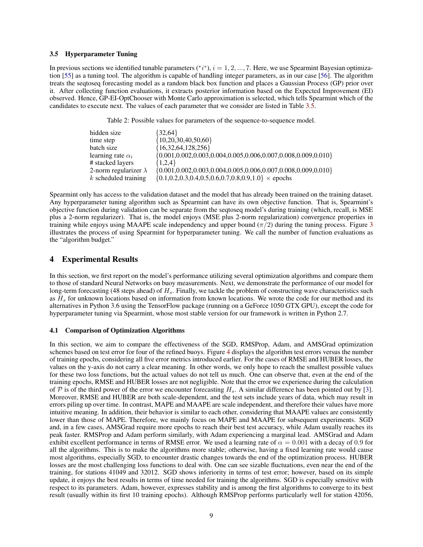#### 3.5 Hyperparameter Tuning

In previous sections we identified tunable parameters  $(*i^*), i = 1, 2, ..., 7$ . Here, we use Spearmint Bayesian optimization [55] as a tuning tool. The algorithm is capable of handling integer parameters, as in our case [56]. The algorithm treats the seqtoseq forecasting model as a random black box function and places a Gaussian Process (GP) prior over it. After collecting function evaluations, it extracts posterior information based on the Expected Improvement (EI) observed. Hence, GP-EI-OptChooser with Monte Carlo approximation is selected, which tells Spearmint which of the candidates to execute next. The values of each parameter that we consider are listed in Table 3.5.

Table 2: Possible values for parameters of the sequence-to-sequence model.

| hidden size                  | $\{32,64\}$                                                                |
|------------------------------|----------------------------------------------------------------------------|
| time step                    | ${10,20,30,40,50,60}$                                                      |
| batch size                   | ${16,32,64,128,256}$                                                       |
| learning rate $\alpha_i$     | $\{0.001, 0.002, 0.003, 0.004, 0.005, 0.006, 0.007, 0.008, 0.009, 0.010\}$ |
| # stacked layers             | ${1,2,4}$                                                                  |
| 2-norm regularizer $\lambda$ | $\{0.001, 0.002, 0.003, 0.004, 0.005, 0.006, 0.007, 0.008, 0.009, 0.010\}$ |
| $k$ scheduled training       | $\{0.1, 0.2, 0.3, 0.4, 0.5, 0.6, 0.7, 0.8, 0.9, 1.0\} \times$ epochs       |
|                              |                                                                            |

Spearmint only has access to the validation dataset and the model that has already been trained on the training dataset. Any hyperparameter tuning algorithm such as Spearmint can have its own objective function. That is, Spearmint's objective function during validation can be separate from the seqtoseq model's during training (which, recall, is MSE plus a 2-norm regularizer). That is, the model enjoys (MSE plus 2-norm regularization) convergence properties in training while enjoys using MAAPE scale independency and upper bound  $(\pi/2)$  during the tuning process. Figure 3 illustrates the process of using Spearmint for hyperparameter tuning. We call the number of function evaluations as the "algorithm budget."

# 4 Experimental Results

In this section, we first report on the model's performance utilizing several optimization algorithms and compare them to those of standard Neural Networks on buoy measurements. Next, we demonstrate the performance of our model for long-term forecasting (48 steps ahead) of  $H_s$ . Finally, we tackle the problem of constructing wave characteristics such as  $H_s$  for unknown locations based on information from known locations. We wrote the code for our method and its alternatives in Python 3.6 using the TensorFlow package (running on a GeForce 1050 GTX GPU), except the code for hyperparameter tuning via Spearmint, whose most stable version for our framework is written in Python 2.7.

#### 4.1 Comparison of Optimization Algorithms

In this section, we aim to compare the effectiveness of the SGD, RMSProp, Adam, and AMSGrad optimization schemes based on test error for four of the refined buoys. Figure 4 displays the algorithm test errors versus the number of training epochs, considering all five error metrics introduced earlier. For the cases of RMSE and HUBER losses, the values on the y-axis do not carry a clear meaning. In other words, we only hope to reach the smallest possible values for these two loss functions, but the actual values do not tell us much. One can observe that, even at the end of the training epochs, RMSE and HUBER losses are not negligible. Note that the error we experience during the calculation of P is of the third power of the error we encounter forecasting  $H_s$ . A similar difference has been pointed out by [3]. Moreover, RMSE and HUBER are both scale-dependent, and the test sets include years of data, which may result in errors piling up over time. In contrast, MAPE and MAAPE are scale independent, and therefore their values have more intuitive meaning. In addition, their behavior is similar to each other, considering that MAAPE values are consistently lower than those of MAPE. Therefore, we mainly focus on MAPE and MAAPE for subsequent experiments. SGD and, in a few cases, AMSGrad require more epochs to reach their best test accuracy, while Adam usually reaches its peak faster. RMSProp and Adam perform similarly, with Adam experiencing a marginal lead. AMSGrad and Adam exhibit excellent performance in terms of RMSE error. We used a learning rate of  $\alpha = 0.001$  with a decay of 0.9 for all the algorithms. This is to make the algorithms more stable; otherwise, having a fixed learning rate would cause most algorithms, especially SGD, to encounter drastic changes towards the end of the optimization process. HUBER losses are the most challenging loss functions to deal with. One can see sizable fluctuations, even near the end of the training, for stations 41049 and 32012. SGD shows inferiority in terms of test error; however, based on its simple update, it enjoys the best results in terms of time needed for training the algorithms. SGD is especially sensitive with respect to its parameters. Adam, however, expresses stability and is among the first algorithms to converge to its best result (usually within its first 10 training epochs). Although RMSProp performs particularly well for station 42056,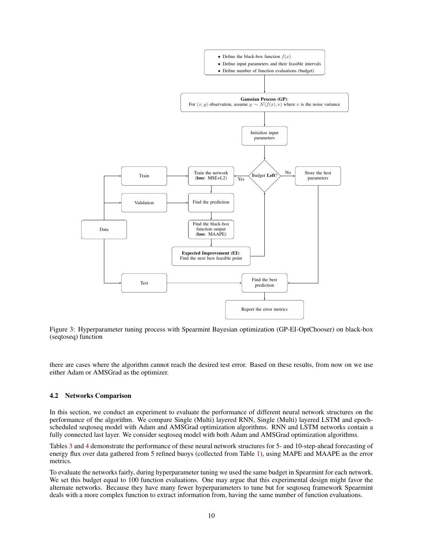

Figure 3: Hyperparameter tuning process with Spearmint Bayesian optimization (GP-EI-OptChooser) on black-box (seqtoseq) function

there are cases where the algorithm cannot reach the desired test error. Based on these results, from now on we use either Adam or AMSGrad as the optimizer.

#### 4.2 Networks Comparison

In this section, we conduct an experiment to evaluate the performance of different neural network structures on the performance of the algorithm. We compare Single (Multi) layered RNN, Single (Multi) layered LSTM and epochscheduled seqtoseq model with Adam and AMSGrad optimization algorithms. RNN and LSTM networks contain a fully connected last layer. We consider seqtoseq model with both Adam and AMSGrad optimization algorithms.

Tables 3 and 4 demonstrate the performance of these neural network structures for 5- and 10-step-ahead forecasting of energy flux over data gathered from 5 refined buoys (collected from Table 1), using MAPE and MAAPE as the error metrics.

To evaluate the networks fairly, during hyperparameter tuning we used the same budget in Spearmint for each network. We set this budget equal to 100 function evaluations. One may argue that this experimental design might favor the alternate networks. Because they have many fewer hyperparameters to tune but for seqtoseq framework Spearmint deals with a more complex function to extract information from, having the same number of function evaluations.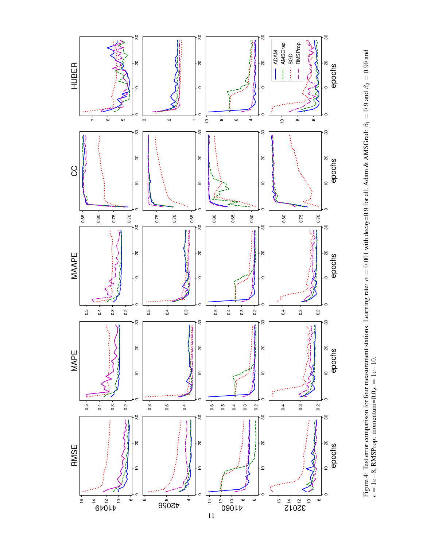

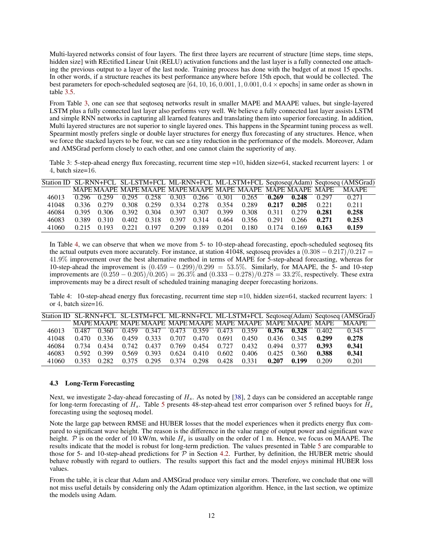Multi-layered networks consist of four layers. The first three layers are recurrent of structure [time steps, time steps, hidden size] with REctified Linear Unit (RELU) activation functions and the last layer is a fully connected one attaching the previous output to a layer of the last node. Training process has done with the budget of at most 15 epochs. In other words, if a structure reaches its best performance anywhere before 15th epoch, that would be collected. The best parameters for epoch-scheduled seqtoseq are  $[64, 10, 16, 0.001, 1, 0.001, 0.4 \times$  epochs] in same order as shown in table 3.5.

From Table 3, one can see that seqtoseq networks result in smaller MAPE and MAAPE values, but single-layered LSTM plus a fully connected last layer also performs very well. We believe a fully connected last layer assists LSTM and simple RNN networks in capturing all learned features and translating them into superior forecasting. In addition, Multi layered structures are not superior to single layered ones. This happens in the Spearmint tuning process as well. Spearmint mostly prefers single or double layer structures for energy flux forecasting of any structures. Hence, when we force the stacked layers to be four, we can see a tiny reduction in the performance of the models. Moreover, Adam and AMSGrad perform closely to each other, and one cannot claim the superiority of any.

Table 3: 5-step-ahead energy flux forecasting, recurrent time step =10, hidden size=64, stacked recurrent layers: 1 or 4, batch size=16.

|       |       |       |                |       |       |       |       |       |       |       |       | Station ID SL-RNN+FCL SL-LSTM+FCL ML-RNN+FCL ML-LSTM+FCL Seqtoseq(Adam) Seqtoseq (AMSGrad) |
|-------|-------|-------|----------------|-------|-------|-------|-------|-------|-------|-------|-------|--------------------------------------------------------------------------------------------|
|       |       |       |                |       |       |       |       |       |       |       |       | <b>MAAPE</b>                                                                               |
| 46013 | 0.296 | 0.259 | $\sqrt{0.295}$ | 0.258 | 0.303 | 0.266 | 0.301 | 0.265 | 0.269 | 0.248 | 0.297 | 0.271                                                                                      |
| 41048 | 0.336 | 0.279 | 0.308          | 0.259 | 0.334 | 0.278 | 0.354 | 0.289 | 0.217 | 0.205 | 0.221 | 0.211                                                                                      |
| 46084 | 0.395 | 0.306 | 0.392          | 0.304 | 0.397 | 0.307 | 0.399 | 0.308 | 0.311 | 0.279 | 0.281 | 0.258                                                                                      |
| 46083 | 0.389 | 0.310 | 0.402          | 0.318 | 0.397 | 0.314 | 0.464 | 0.356 | 0.291 | 0.266 | 0.271 | 0.253                                                                                      |
| 41060 | 0.215 | 0.193 | 0.221          | 0.197 | 0.209 | 0.189 | 0.201 | 0.180 | 0.174 | 0.169 | 0.163 | 0.159                                                                                      |

In Table 4, we can observe that when we move from 5- to 10-step-ahead forecasting, epoch-scheduled seqtoseq fits the actual outputs even more accurately. For instance, at station 41048, seqtoseq provides a  $(0.308 - 0.217)/0.217 =$ 41.9% improvement over the best alternative method in terms of MAPE for 5-step-ahead forecasting, whereas for 10-step-ahead the improvement is  $(0.459 - 0.299)/0.299 = 53.5\%$ . Similarly, for MAAPE, the 5- and 10-step improvements are  $(0.\overline{259} - 0.205)/0.205) = 26.3\%$  and  $(0.333 - 0.278)/0.278 = 33.2\%$ , respectively. These extra improvements may be a direct result of scheduled training managing deeper forecasting horizons.

Table 4: 10-step-ahead energy flux forecasting, recurrent time step =10, hidden size=64, stacked recurrent layers: 1 or 4, batch size=16.

|       |       |       |       |       |       |       |       |       |       |       |       | Station ID SL-RNN+FCL SL-LSTM+FCL ML-RNN+FCL ML-LSTM+FCL Seqtoseq(Adam) Seqtoseq (AMSGrad) |
|-------|-------|-------|-------|-------|-------|-------|-------|-------|-------|-------|-------|--------------------------------------------------------------------------------------------|
|       |       |       |       |       |       |       |       |       |       |       |       | <b>MAAPE</b>                                                                               |
| 46013 | 0.487 | 0.360 | 0.459 | 0.347 | 0.473 | 0.359 | 0.473 | 0.359 | 0.376 | 0.328 | 0.402 | 0.345                                                                                      |
| 41048 | 0.470 | 0.336 | 0.459 | 0.333 | 0.707 | 0.470 | 0.691 | 0.450 | 0.436 | 0.345 | 0.299 | 0.278                                                                                      |
| 46084 | 0.734 | 0.434 | 0.742 | 0.437 | 0.769 | 0.454 | 0.727 | 0.432 | 0.494 | 0.377 | 0.393 | 0.341                                                                                      |
| 46083 | 0.592 | 0.399 | 0.569 | 0.393 | 0.624 | 0.410 | 0.602 | 0.406 | 0.425 | 0.360 | 0.388 | 0.341                                                                                      |
| 41060 | 0.353 | 0.282 | 0.375 | 0.295 | 0.374 | 0.298 | 0.428 | 0.331 | 0.207 | 0.199 | 0.209 | 0.201                                                                                      |

#### 4.3 Long-Term Forecasting

Next, we investigate 2-day-ahead forecasting of  $H_s$ . As noted by [38], 2 days can be considered an acceptable range for long-term forecasting of  $H_s$ . Table 5 presents 48-step-ahead test error comparison over 5 refined buoys for  $H_s$ forecasting using the seqtoseq model.

Note the large gap between RMSE and HUBER losses that the model experiences when it predicts energy flux compared to significant wave height. The reason is the difference in the value range of output power and significant wave height.  $P$  is on the order of 10 kW/m, while  $H_s$  is usually on the order of 1 m. Hence, we focus on MAAPE. The results indicate that the model is robust for long-term prediction. The values presented in Table 5 are comparable to those for 5- and 10-step-ahead predictions for  $\mathcal P$  in Section 4.2. Further, by definition, the HUBER metric should behave robustly with regard to outliers. The results support this fact and the model enjoys minimal HUBER loss values.

From the table, it is clear that Adam and AMSGrad produce very similar errors. Therefore, we conclude that one will not miss useful details by considering only the Adam optimization algorithm. Hence, in the last section, we optimize the models using Adam.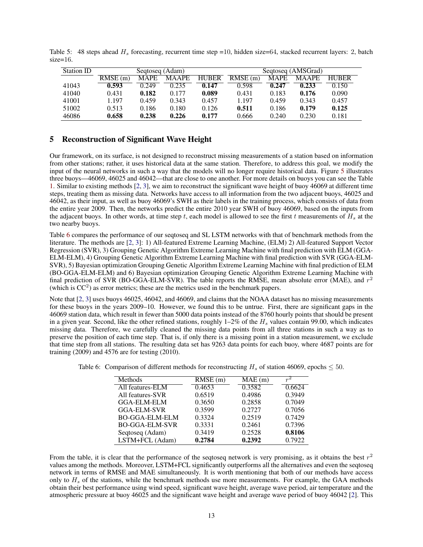| Station ID |            | Seqtoseq (Adam) |              |              | Segtoseg (AMSGrad) |             |              |              |  |
|------------|------------|-----------------|--------------|--------------|--------------------|-------------|--------------|--------------|--|
|            | $RMSE$ (m) | <b>MAPE</b>     | <b>MAAPE</b> | <b>HUBER</b> | RMSE(m)            | <b>MAPE</b> | <b>MAAPE</b> | <b>HUBER</b> |  |
| 41043      | 0.593      | 0.249           | 0.235        | 0.147        | 0.598              | 0.247       | 0.233        | 0.150        |  |
| 41040      | 0.431      | 0.182           | 0.177        | 0.089        | 0.431              | 0.183       | 0.176        | 0.090        |  |
| 41001      | 1.197      | 0.459           | 0.343        | 0.457        | 1.197              | 0.459       | 0.343        | 0.457        |  |
| 51002      | 0.513      | 0.186           | 0.180        | 0.126        | 0.511              | 0.186       | 0.179        | 0.125        |  |
| 46086      | 0.658      | 0.238           | 0.226        | 0.177        | 0.666              | 0.240       | 0.230        | 0.181        |  |

Table 5: 48 steps ahead  $H_s$  forecasting, recurrent time step =10, hidden size=64, stacked recurrent layers: 2, batch size=16.

# 5 Reconstruction of Significant Wave Height

Our framework, on its surface, is not designed to reconstruct missing measurements of a station based on information from other stations; rather, it uses historical data at the same station. Therefore, to address this goal, we modify the input of the neural networks in such a way that the models will no longer require historical data. Figure 5 illustrates three buoys—46069, 46025 and 46042—that are close to one another. For more details on buoys you can see the Table 1. Similar to existing methods [2, 3], we aim to reconstruct the significant wave height of buoy 46069 at different time steps, treating them as missing data. Networks have access to all information from the two adjacent buoys, 46025 and 46042, as their input, as well as buoy 46069's SWH as their labels in the training process, which consists of data from the entire year 2009. Then, the networks predict the entire 2010 year SWH of buoy 46069, based on the inputs from the adjacent buoys. In other words, at time step t, each model is allowed to see the first t measurements of  $H_s$  at the two nearby buoys.

Table 6 compares the performance of our seqtoseq and SL LSTM networks with that of benchmark methods from the literature. The methods are [2, 3]: 1) All-featured Extreme Learning Machine, (ELM) 2) All-featured Support Vector Regression (SVR), 3) Grouping Genetic Algorithm Extreme Learning Machine with final prediction with ELM (GGA-ELM-ELM), 4) Grouping Genetic Algorithm Extreme Learning Machine with final prediction with SVR (GGA-ELM-SVR), 5) Bayesian optimization Grouping Genetic Algorithm Extreme Learning Machine with final prediction of ELM (BO-GGA-ELM-ELM) and 6) Bayesian optimization Grouping Genetic Algorithm Extreme Learning Machine with final prediction of SVR (BO-GGA-ELM-SVR). The table reports the RMSE, mean absolute error (MAE), and  $r^2$ (which is  $CC<sup>2</sup>$ ) as error metrics; these are the metrics used in the benchmark papers.

Note that [2, 3] uses buoys 46025, 46042, and 46069, and claims that the NOAA dataset has no missing measurements for these buoys in the years 2009–10. However, we found this to be untrue. First, there are significant gaps in the 46069 station data, which result in fewer than 5000 data points instead of the 8760 hourly points that should be present in a given year. Second, like the other refined stations, roughly  $1-2\%$  of the  $H_s$  values contain 99.00, which indicates missing data. Therefore, we carefully cleaned the missing data points from all three stations in such a way as to preserve the position of each time step. That is, if only there is a missing point in a station measurement, we exclude that time step from all stations. The resulting data set has 9263 data points for each buoy, where 4687 points are for training (2009) and 4576 are for testing (2010).

| Methods               | $RMSE$ (m) | MAE(m) | $r^2$  |
|-----------------------|------------|--------|--------|
| All features-ELM      | 0.4653     | 0.3582 | 0.6624 |
| All features-SVR      | 0.6519     | 0.4986 | 0.3949 |
| <b>GGA-ELM-ELM</b>    | 0.3650     | 0.2858 | 0.7049 |
| <b>GGA-ELM-SVR</b>    | 0.3599     | 0.2727 | 0.7056 |
| <b>BO-GGA-ELM-ELM</b> | 0.3324     | 0.2519 | 0.7429 |
| <b>BO-GGA-ELM-SVR</b> | 0.3331     | 0.2461 | 0.7396 |
| Seqtoseq (Adam)       | 0.3419     | 0.2528 | 0.8106 |
| LSTM+FCL (Adam)       | 0.2784     | 0.2392 | 0.7922 |

Table 6: Comparison of different methods for reconstructing  $H_s$  of station 46069, epochs  $\leq 50$ .

From the table, it is clear that the performance of the seqtoseq network is very promising, as it obtains the best  $r^2$ values among the methods. Moreover, LSTM+FCL significantly outperforms all the alternatives and even the seqtoseq network in terms of RMSE and MAE simultaneously. It is worth mentioning that both of our methods have access only to  $H_s$  of the stations, while the benchmark methods use more measurements. For example, the GAA methods obtain their best performance using wind speed, significant wave height, average wave period, air temperature and the atmospheric pressure at buoy 46025 and the significant wave height and average wave period of buoy 46042 [2]. This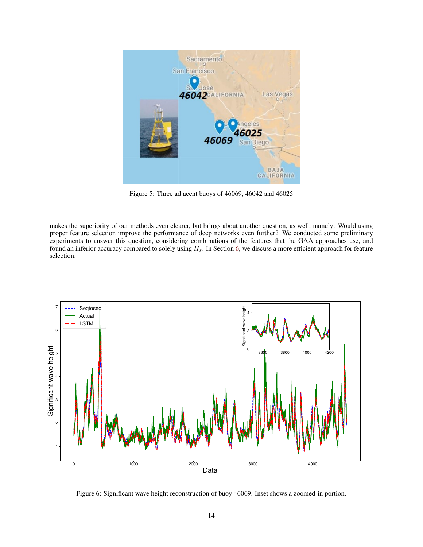

Figure 5: Three adjacent buoys of 46069, 46042 and 46025

makes the superiority of our methods even clearer, but brings about another question, as well, namely: Would using proper feature selection improve the performance of deep networks even further? We conducted some preliminary experiments to answer this question, considering combinations of the features that the GAA approaches use, and found an inferior accuracy compared to solely using  $H_s$ . In Section 6, we discuss a more efficient approach for feature selection.



Figure 6: Significant wave height reconstruction of buoy 46069. Inset shows a zoomed-in portion.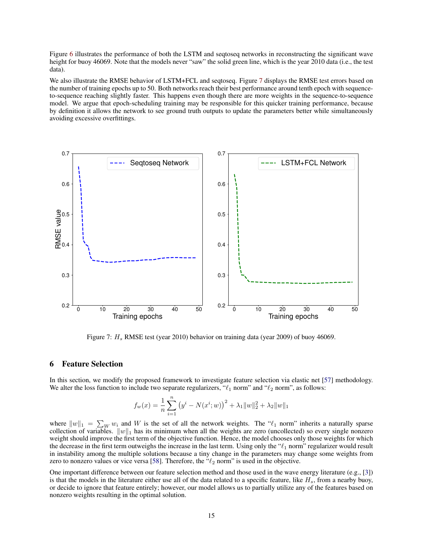Figure 6 illustrates the performance of both the LSTM and seqtoseq networks in reconstructing the significant wave height for buoy 46069. Note that the models never "saw" the solid green line, which is the year 2010 data (i.e., the test data).

We also illustrate the RMSE behavior of LSTM+FCL and seqtoseq. Figure 7 displays the RMSE test errors based on the number of training epochs up to 50. Both networks reach their best performance around tenth epoch with sequenceto-sequence reaching slightly faster. This happens even though there are more weights in the sequence-to-sequence model. We argue that epoch-scheduling training may be responsible for this quicker training performance, because by definition it allows the network to see ground truth outputs to update the parameters better while simultaneously avoiding excessive overfittings.



Figure 7:  $H_s$  RMSE test (year 2010) behavior on training data (year 2009) of buoy 46069.

# 6 Feature Selection

In this section, we modify the proposed framework to investigate feature selection via elastic net [57] methodology. We alter the loss function to include two separate regularizers, " $\ell_1$  norm" and " $\ell_2$  norm", as follows:

$$
f_w(x) = \frac{1}{n} \sum_{i=1}^n (y^i - N(x^i; w))^2 + \lambda_1 \|w\|_2^2 + \lambda_2 \|w\|_1
$$

where  $||w||_1 = \sum_W w_i$  and W is the set of all the network weights. The " $\ell_1$  norm" inherits a naturally sparse collection of variables.  $\|w\|_1$  has its minimum when all the weights are zero (uncollected) so every single nonzero weight should improve the first term of the objective function. Hence, the model chooses only those weights for which the decrease in the first term outweighs the increase in the last term. Using only the " $\ell_1$  norm" regularizer would result in instability among the multiple solutions because a tiny change in the parameters may change some weights from zero to nonzero values or vice versa [58]. Therefore, the " $\ell_2$  norm" is used in the objective.

One important difference between our feature selection method and those used in the wave energy literature (e.g., [3]) is that the models in the literature either use all of the data related to a specific feature, like  $H_s$ , from a nearby buoy, or decide to ignore that feature entirely; however, our model allows us to partially utilize any of the features based on nonzero weights resulting in the optimal solution.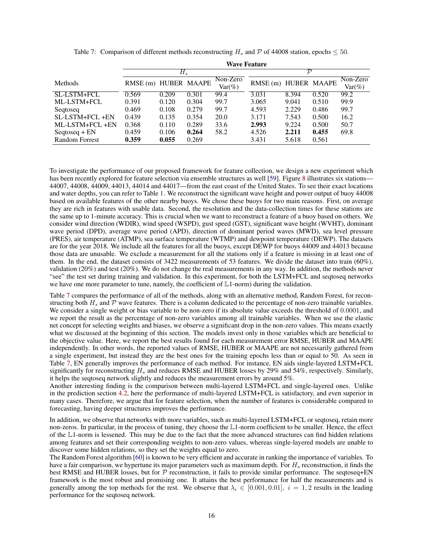|                       | <b>Wave Feature</b>  |       |       |           |                      |       |       |            |  |  |
|-----------------------|----------------------|-------|-------|-----------|----------------------|-------|-------|------------|--|--|
|                       |                      | $H_s$ |       |           | $\mathcal{D}$        |       |       |            |  |  |
| <b>Methods</b>        | RMSE (m) HUBER MAAPE |       |       | Non-Zero  | RMSE (m) HUBER MAAPE |       |       | $Non-Zero$ |  |  |
|                       |                      |       |       | $Var(\%)$ |                      |       |       | $Var(\%)$  |  |  |
| SL-LSTM+FCL           | 0.569                | 0.209 | 0.301 | 99.4      | 3.031                | 8.394 | 0.520 | 99.2       |  |  |
| ML-LSTM+FCL           | 0.391                | 0.120 | 0.304 | 99.7      | 3.065                | 9.041 | 0.510 | 99.9       |  |  |
| Segtoseg              | 0.469                | 0.108 | 0.279 | 99.7      | 4.593                | 2.229 | 0.486 | 99.7       |  |  |
| SL-LSTM+FCL+EN        | 0.439                | 0.135 | 0.354 | 20.0      | 3.171                | 7.543 | 0.500 | 16.2       |  |  |
| ML-LSTM+FCL+EN        | 0.368                | 0.110 | 0.289 | 33.6      | 2.993                | 9.224 | 0.500 | 50.7       |  |  |
| $Seqtoseq + EN$       | 0.459                | 0.106 | 0.264 | 58.2      | 4.526                | 2.211 | 0.455 | 69.8       |  |  |
| <b>Random Forrest</b> | 0.359                | 0.055 | 0.269 |           | 3.431                | 5.618 | 0.561 |            |  |  |

Table 7: Comparison of different methods reconstructing  $H_s$  and P of 44008 station, epochs  $\leq 50$ .

To investigate the performance of our proposed framework for feature collection, we design a new experiment which has been recently explored for feature selection via ensemble structures as well [59]. Figure 8 illustrates six stations— 44007, 44008, 44009, 44013, 44014 and 44017—from the east coast of the United States. To see their exact locations and water depths, you can refer to Table 1. We reconstruct the significant wave height and power output of buoy 44008 based on available features of the other nearby buoys. We chose these buoys for two main reasons. First, on average they are rich in features with usable data. Second, the resolution and the data-collection times for these stations are the same up to 1-minute accuracy. This is crucial when we want to reconstruct a feature of a buoy based on others. We consider wind direction (WDIR), wind speed (WSPD), gust speed (GST), significant wave height (WVHT), dominant wave period (DPD), average wave period (APD), direction of dominant period waves (MWD), sea level pressure (PRES), air temperature (ATMP), sea surface temperature (WTMP) and dewpoint temperature (DEWP). The datasets are for the year 2018. We include all the features for all the buoys, except DEWP for buoys 44009 and 44013 because those data are unusable. We exclude a measurement for all the stations only if a feature is missing in at least one of them. In the end, the dataset consists of 3422 measurements of 53 features. We divide the dataset into train (60%), validation (20%) and test (20%). We do not change the real measurements in any way. In addition, the methods never "see" the test set during training and validation. In this experiment, for both the LSTM+FCL and seqtoseq networks we have one more parameter to tune, namely, the coefficient of  $\mathbb{L}1$ -norm) during the validation.

Table 7 compares the performance of all of the methods, along with an alternative method, Random Forest, for reconstructing both  $H_s$  and  $P$  wave features. There is a column dedicated to the percentage of non-zero trainable variables. We consider a single weight or bias variable to be non-zero if its absolute value exceeds the threshold of 0.0001, and we report the result as the percentage of non-zero variables among all trainable variables. When we use the elastic net concept for selecting weights and biases, we observe a significant drop in the non-zero values. This means exactly what we discussed at the beginning of this section. The models invest only in those variables which are beneficial to the objective value. Here, we report the best results found for each measurement error RMSE, HUBER and MAAPE independently. In other words, the reported values of RMSE, HUBER or MAAPE are not necessarily gathered from a single experiment, but instead they are the best ones for the training epochs less than or equal to 50. As seen in Table 7, EN generally improves the performance of each method. For instance, EN aids single-layered LSTM+FCL significantly for reconstructing  $H_s$  and reduces RMSE and HUBER losses by 29% and 54%, respectively. Similarly, it helps the seqtoseq network slightly and reduces the measurement errors by around 5%.

Another interesting finding is the comparison between multi-layered LSTM+FCL and single-layered ones. Unlike in the prediction section 4.2, here the performance of multi-layered LSTM+FCL is satisfactory, and even superior in many cases. Therefore, we argue that for feature selection, when the number of features is considerable compared to forecasting, having deeper structures improves the performance.

In addition, we observe that networks with more variables, such as multi-layered LSTM+FCL or seqtoseq, retain more non-zeros. In particular, in the process of tuning, they choose the L1-norm coefficient to be smaller. Hence, the effect of the L1-norm is lessened. This may be due to the fact that the more advanced structures can find hidden relations among features and set their corresponding weights to non-zero values, whereas single-layered models are unable to discover some hidden relations, so they set the weights equal to zero.

The Random Forest algorithm [60] is known to be very efficient and accurate in ranking the importance of variables. To have a fair comparison, we hypertune its major parameters such as maximum depth. For  $H_s$  reconstruction, it finds the best RMSE and HUBER losses, but for  $P$  reconstruction, it fails to provide similar performance. The seqtoseq+EN framework is the most robust and promising one. It attains the best performance for half the measurements and is generally among the top methods for the rest. We observe that  $\lambda_i \in [0.001, 0.01]$ ,  $i = 1, 2$  results in the leading performance for the seqtoseq network.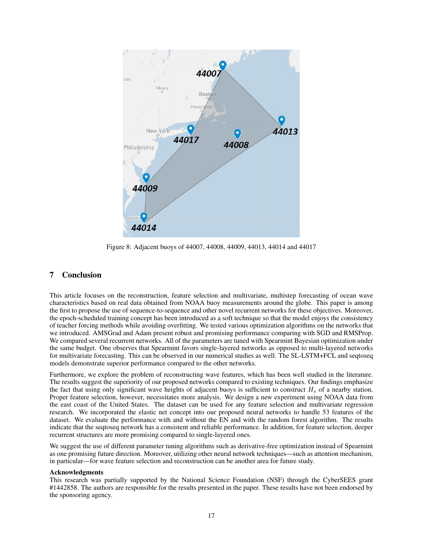

Figure 8: Adjacent buoys of 44007, 44008, 44009, 44013, 44014 and 44017

# 7 Conclusion

This article focuses on the reconstruction, feature selection and multivariate, multistep forecasting of ocean wave characteristics based on real data obtained from NOAA buoy measurements around the globe. This paper is among the first to propose the use of sequence-to-sequence and other novel recurrent networks for these objectives. Moreover, the epoch-scheduled training concept has been introduced as a soft technique so that the model enjoys the consistency of teacher forcing methods while avoiding overfitting. We tested various optimization algorithms on the networks that we introduced. AMSGrad and Adam present robust and promising performance comparing with SGD and RMSProp. We compared several recurrent networks. All of the parameters are tuned with Spearmint Bayesian optimization under the same budget. One observes that Spearmint favors single-layered networks as opposed to multi-layered networks for multivariate forecasting. This can be observed in our numerical studies as well. The SL-LSTM+FCL and seqtoseq models demonstrate superior performance compared to the other networks.

Furthermore, we explore the problem of reconstructing wave features, which has been well studied in the literature. The results suggest the superiority of our proposed networks compared to existing techniques. Our findings emphasize the fact that using only significant wave heights of adjacent buoys is sufficient to construct  $H_s$  of a nearby station. Proper feature selection, however, necessitates more analysis. We design a new experiment using NOAA data from the east coast of the United States. The dataset can be used for any feature selection and multivariate regression research. We incorporated the elastic net concept into our proposed neural networks to handle 53 features of the dataset. We evaluate the performance with and without the EN and with the random forest algorithm. The results indicate that the seqtoseq network has a consistent and reliable performance. In addition, for feature selection, deeper recurrent structures are more promising compared to single-layered ones.

We suggest the use of different parameter tuning algorithms such as derivative-free optimization instead of Spearmint as one promising future direction. Moreover, utilizing other neural network techniques—such as attention mechanism, in particular—for wave feature selection and reconstruction can be another area for future study.

#### Acknowledgments

This research was partially supported by the National Science Foundation (NSF) through the CyberSEES grant #1442858. The authors are responsible for the results presented in the paper. These results have not been endorsed by the sponsoring agency.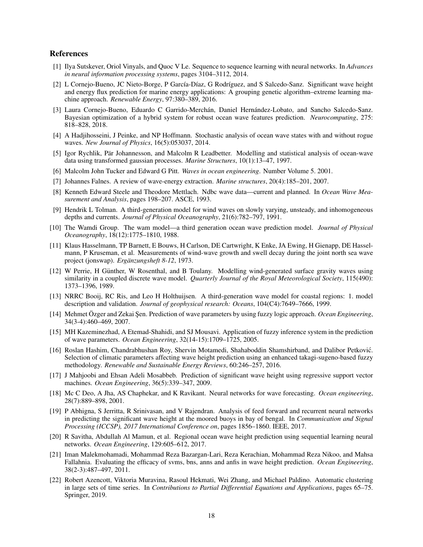### References

- [1] Ilya Sutskever, Oriol Vinyals, and Quoc V Le. Sequence to sequence learning with neural networks. In *Advances in neural information processing systems*, pages 3104–3112, 2014.
- [2] L Cornejo-Bueno, JC Nieto-Borge, P García-Díaz, G Rodríguez, and S Salcedo-Sanz. Significant wave height and energy flux prediction for marine energy applications: A grouping genetic algorithm–extreme learning machine approach. *Renewable Energy*, 97:380–389, 2016.
- [3] Laura Cornejo-Bueno, Eduardo C Garrido-Merchán, Daniel Hernández-Lobato, and Sancho Salcedo-Sanz. Bayesian optimization of a hybrid system for robust ocean wave features prediction. *Neurocomputing*, 275: 818–828, 2018.
- [4] A Hadjihosseini, J Peinke, and NP Hoffmann. Stochastic analysis of ocean wave states with and without rogue waves. *New Journal of Physics*, 16(5):053037, 2014.
- [5] Igor Rychlik, Pär Johannesson, and Malcolm R Leadbetter. Modelling and statistical analysis of ocean-wave data using transformed gaussian processes. *Marine Structures*, 10(1):13–47, 1997.
- [6] Malcolm John Tucker and Edward G Pitt. *Waves in ocean engineering*. Number Volume 5. 2001.
- [7] Johannes Falnes. A review of wave-energy extraction. *Marine structures*, 20(4):185–201, 2007.
- [8] Kenneth Edward Steele and Theodore Mettlach. Ndbc wave data—current and planned. In *Ocean Wave Measurement and Analysis*, pages 198–207. ASCE, 1993.
- [9] Hendrik L Tolman. A third-generation model for wind waves on slowly varying, unsteady, and inhomogeneous depths and currents. *Journal of Physical Oceanography*, 21(6):782–797, 1991.
- [10] The Wamdi Group. The wam model—a third generation ocean wave prediction model. *Journal of Physical Oceanography*, 18(12):1775–1810, 1988.
- [11] Klaus Hasselmann, TP Barnett, E Bouws, H Carlson, DE Cartwright, K Enke, JA Ewing, H Gienapp, DE Hasselmann, P Kruseman, et al. Measurements of wind-wave growth and swell decay during the joint north sea wave project (jonswap). *Ergänzungsheft 8-12*, 1973.
- [12] W Perrie, H Günther, W Rosenthal, and B Toulany. Modelling wind-generated surface gravity waves using similarity in a coupled discrete wave model. *Quarterly Journal of the Royal Meteorological Society*, 115(490): 1373–1396, 1989.
- [13] NRRC Booij, RC Ris, and Leo H Holthuijsen. A third-generation wave model for coastal regions: 1. model description and validation. *Journal of geophysical research: Oceans*, 104(C4):7649–7666, 1999.
- [14] Mehmet Özger and Zekai Şen. Prediction of wave parameters by using fuzzy logic approach. Ocean Engineering, 34(3-4):460–469, 2007.
- [15] MH Kazeminezhad, A Etemad-Shahidi, and SJ Mousavi. Application of fuzzy inference system in the prediction of wave parameters. *Ocean Engineering*, 32(14-15):1709–1725, 2005.
- [16] Roslan Hashim, Chandrabhushan Roy, Shervin Motamedi, Shahaboddin Shamshirband, and Dalibor Petkovic.´ Selection of climatic parameters affecting wave height prediction using an enhanced takagi-sugeno-based fuzzy methodology. *Renewable and Sustainable Energy Reviews*, 60:246–257, 2016.
- [17] J Mahjoobi and Ehsan Adeli Mosabbeb. Prediction of significant wave height using regressive support vector machines. *Ocean Engineering*, 36(5):339–347, 2009.
- [18] Mc C Deo, A Jha, AS Chaphekar, and K Ravikant. Neural networks for wave forecasting. *Ocean engineering*, 28(7):889–898, 2001.
- [19] P Abhigna, S Jerritta, R Srinivasan, and V Rajendran. Analysis of feed forward and recurrent neural networks in predicting the significant wave height at the moored buoys in bay of bengal. In *Communication and Signal Processing (ICCSP), 2017 International Conference on*, pages 1856–1860. IEEE, 2017.
- [20] R Savitha, Abdullah Al Mamun, et al. Regional ocean wave height prediction using sequential learning neural networks. *Ocean Engineering*, 129:605–612, 2017.
- [21] Iman Malekmohamadi, Mohammad Reza Bazargan-Lari, Reza Kerachian, Mohammad Reza Nikoo, and Mahsa Fallahnia. Evaluating the efficacy of svms, bns, anns and anfis in wave height prediction. *Ocean Engineering*, 38(2-3):487–497, 2011.
- [22] Robert Azencott, Viktoria Muravina, Rasoul Hekmati, Wei Zhang, and Michael Paldino. Automatic clustering in large sets of time series. In *Contributions to Partial Differential Equations and Applications*, pages 65–75. Springer, 2019.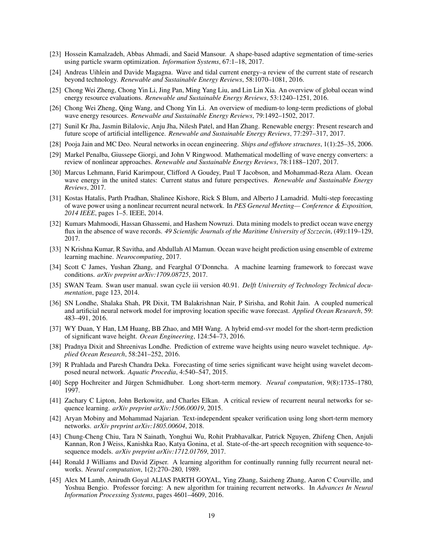- [23] Hossein Kamalzadeh, Abbas Ahmadi, and Saeid Mansour. A shape-based adaptive segmentation of time-series using particle swarm optimization. *Information Systems*, 67:1–18, 2017.
- [24] Andreas Uihlein and Davide Magagna. Wave and tidal current energy–a review of the current state of research beyond technology. *Renewable and Sustainable Energy Reviews*, 58:1070–1081, 2016.
- [25] Chong Wei Zheng, Chong Yin Li, Jing Pan, Ming Yang Liu, and Lin Lin Xia. An overview of global ocean wind energy resource evaluations. *Renewable and Sustainable Energy Reviews*, 53:1240–1251, 2016.
- [26] Chong Wei Zheng, Qing Wang, and Chong Yin Li. An overview of medium-to long-term predictions of global wave energy resources. *Renewable and Sustainable Energy Reviews*, 79:1492–1502, 2017.
- [27] Sunil Kr Jha, Jasmin Bilalovic, Anju Jha, Nilesh Patel, and Han Zhang. Renewable energy: Present research and future scope of artificial intelligence. *Renewable and Sustainable Energy Reviews*, 77:297–317, 2017.
- [28] Pooja Jain and MC Deo. Neural networks in ocean engineering. *Ships and offshore structures*, 1(1):25–35, 2006.
- [29] Markel Penalba, Giussepe Giorgi, and John V Ringwood. Mathematical modelling of wave energy converters: a review of nonlinear approaches. *Renewable and Sustainable Energy Reviews*, 78:1188–1207, 2017.
- [30] Marcus Lehmann, Farid Karimpour, Clifford A Goudey, Paul T Jacobson, and Mohammad-Reza Alam. Ocean wave energy in the united states: Current status and future perspectives. *Renewable and Sustainable Energy Reviews*, 2017.
- [31] Kostas Hatalis, Parth Pradhan, Shalinee Kishore, Rick S Blum, and Alberto J Lamadrid. Multi-step forecasting of wave power using a nonlinear recurrent neural network. In *PES General Meeting— Conference & Exposition, 2014 IEEE*, pages 1–5. IEEE, 2014.
- [32] Kumars Mahmoodi, Hassan Ghassemi, and Hashem Nowruzi. Data mining models to predict ocean wave energy flux in the absence of wave records. *49 Scientific Journals of the Maritime University of Szczecin*, (49):119–129, 2017.
- [33] N Krishna Kumar, R Savitha, and Abdullah Al Mamun. Ocean wave height prediction using ensemble of extreme learning machine. *Neurocomputing*, 2017.
- [34] Scott C James, Yushan Zhang, and Fearghal O'Donncha. A machine learning framework to forecast wave conditions. *arXiv preprint arXiv:1709.08725*, 2017.
- [35] SWAN Team. Swan user manual. swan cycle iii version 40.91. *Delft University of Technology Technical documentation*, page 123, 2014.
- [36] SN Londhe, Shalaka Shah, PR Dixit, TM Balakrishnan Nair, P Sirisha, and Rohit Jain. A coupled numerical and artificial neural network model for improving location specific wave forecast. *Applied Ocean Research*, 59: 483–491, 2016.
- [37] WY Duan, Y Han, LM Huang, BB Zhao, and MH Wang. A hybrid emd-svr model for the short-term prediction of significant wave height. *Ocean Engineering*, 124:54–73, 2016.
- [38] Pradnya Dixit and Shreenivas Londhe. Prediction of extreme wave heights using neuro wavelet technique. *Applied Ocean Research*, 58:241–252, 2016.
- [39] R Prahlada and Paresh Chandra Deka. Forecasting of time series significant wave height using wavelet decomposed neural network. *Aquatic Procedia*, 4:540–547, 2015.
- [40] Sepp Hochreiter and Jurgen Schmidhuber. Long short-term memory. ¨ *Neural computation*, 9(8):1735–1780, 1997.
- [41] Zachary C Lipton, John Berkowitz, and Charles Elkan. A critical review of recurrent neural networks for sequence learning. *arXiv preprint arXiv:1506.00019*, 2015.
- [42] Aryan Mobiny and Mohammad Najarian. Text-independent speaker verification using long short-term memory networks. *arXiv preprint arXiv:1805.00604*, 2018.
- [43] Chung-Cheng Chiu, Tara N Sainath, Yonghui Wu, Rohit Prabhavalkar, Patrick Nguyen, Zhifeng Chen, Anjuli Kannan, Ron J Weiss, Kanishka Rao, Katya Gonina, et al. State-of-the-art speech recognition with sequence-tosequence models. *arXiv preprint arXiv:1712.01769*, 2017.
- [44] Ronald J Williams and David Zipser. A learning algorithm for continually running fully recurrent neural networks. *Neural computation*, 1(2):270–280, 1989.
- [45] Alex M Lamb, Anirudh Goyal ALIAS PARTH GOYAL, Ying Zhang, Saizheng Zhang, Aaron C Courville, and Yoshua Bengio. Professor forcing: A new algorithm for training recurrent networks. In *Advances In Neural Information Processing Systems*, pages 4601–4609, 2016.